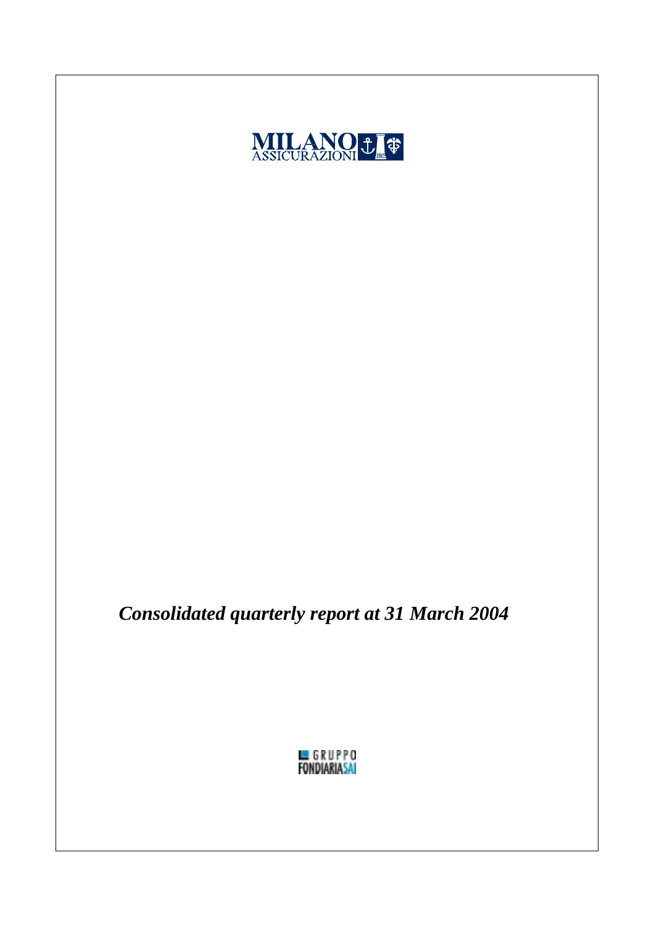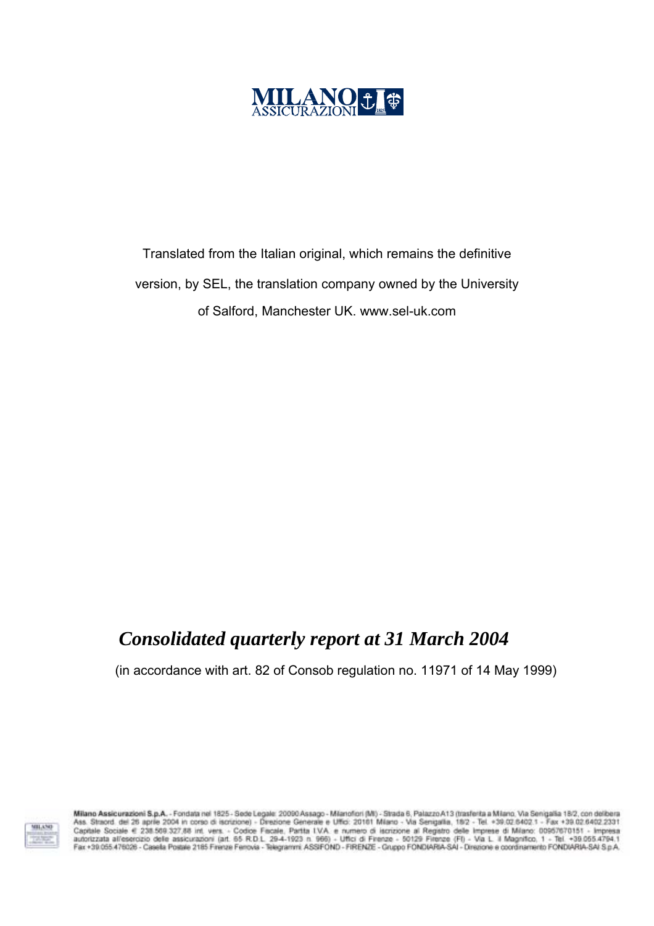

Translated from the Italian original, which remains the definitive version, by SEL, the translation company owned by the University of Salford, Manchester UK. www.sel-uk.com

## *Consolidated quarterly report at 31 March 2004*

(in accordance with art. 82 of Consob regulation no. 11971 of 14 May 1999)



Milano Assicurazioni S.p.A. - Fondata nel 1825 - Sede Legale: 20090 Assago - Mianofori (MI) - Strada 6, Palazzo A13 (trasferita a Milano, Via Senigalia 18/2, con delibera<br>Ass. Straord. del 26 aprile 2004 in corso di iscriz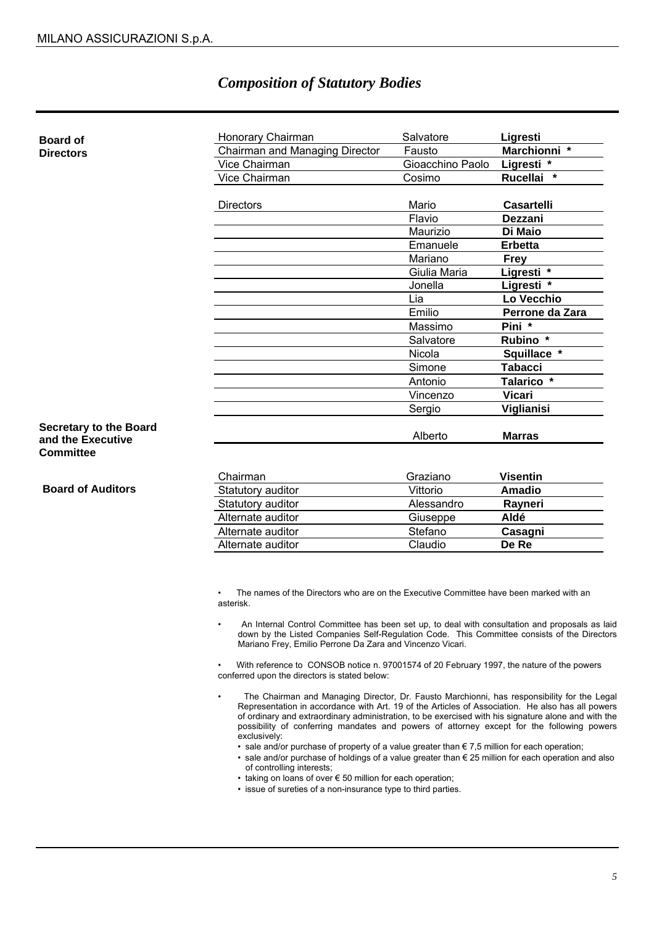### *Composition of Statutory Bodies*

| <b>Board of</b>                                    | Honorary Chairman              | Salvatore        | Ligresti          |
|----------------------------------------------------|--------------------------------|------------------|-------------------|
| <b>Directors</b>                                   | Chairman and Managing Director | Fausto           | Marchionni *      |
|                                                    | Vice Chairman                  | Gioacchino Paolo | Ligresti *        |
|                                                    | Vice Chairman                  | Cosimo           | Rucellai *        |
|                                                    | <b>Directors</b>               | Mario            | <b>Casartelli</b> |
|                                                    |                                | Flavio           | Dezzani           |
|                                                    |                                | Maurizio         | Di Maio           |
|                                                    |                                | Emanuele         | Erbetta           |
|                                                    |                                | Mariano          | <b>Frey</b>       |
|                                                    |                                | Giulia Maria     | Ligresti *        |
|                                                    |                                | Jonella          | Ligresti *        |
|                                                    |                                | Lia              | Lo Vecchio        |
|                                                    |                                | Emilio           | Perrone da Zara   |
|                                                    |                                | Massimo          | Pini *            |
|                                                    |                                | Salvatore        | Rubino *          |
|                                                    |                                | Nicola           | Squillace *       |
|                                                    |                                | Simone           | <b>Tabacci</b>    |
|                                                    |                                | Antonio          | Talarico *        |
|                                                    |                                | Vincenzo         | <b>Vicari</b>     |
|                                                    |                                | Sergio           | Viglianisi        |
| <b>Secretary to the Board</b><br>and the Executive |                                | Alberto          | <b>Marras</b>     |
| <b>Committee</b>                                   |                                |                  |                   |
|                                                    | Chairman                       | Graziano         | <b>Visentin</b>   |
| <b>Board of Auditors</b>                           | Statutory auditor              | Vittorio         | <b>Amadio</b>     |
|                                                    | Statutory auditor              | Alessandro       | Rayneri           |
|                                                    | Alternate auditor              | Giuseppe         | Aldé              |
|                                                    | Alternate auditor              | Stefano          | Casagni           |
|                                                    | Alternate auditor              | Claudio          | De Re             |

The names of the Directors who are on the Executive Committee have been marked with an asterisk.

• An Internal Control Committee has been set up, to deal with consultation and proposals as laid down by the Listed Companies Self-Regulation Code. This Committee consists of the Directors Mariano Frey, Emilio Perrone Da Zara and Vincenzo Vicari.

• With reference to CONSOB notice n. 97001574 of 20 February 1997, the nature of the powers conferred upon the directors is stated below:

- The Chairman and Managing Director, Dr. Fausto Marchionni, has responsibility for the Legal Representation in accordance with Art. 19 of the Articles of Association. He also has all powers of ordinary and extraordinary administration, to be exercised with his signature alone and with the possibility of conferring mandates and powers of attorney except for the following powers exclusively:
	- sale and/or purchase of property of a value greater than  $\epsilon$  7,5 million for each operation;
	- sale and/or purchase of holdings of a value greater than € 25 million for each operation and also of controlling interests;
	- taking on loans of over € 50 million for each operation;
	- issue of sureties of a non-insurance type to third parties.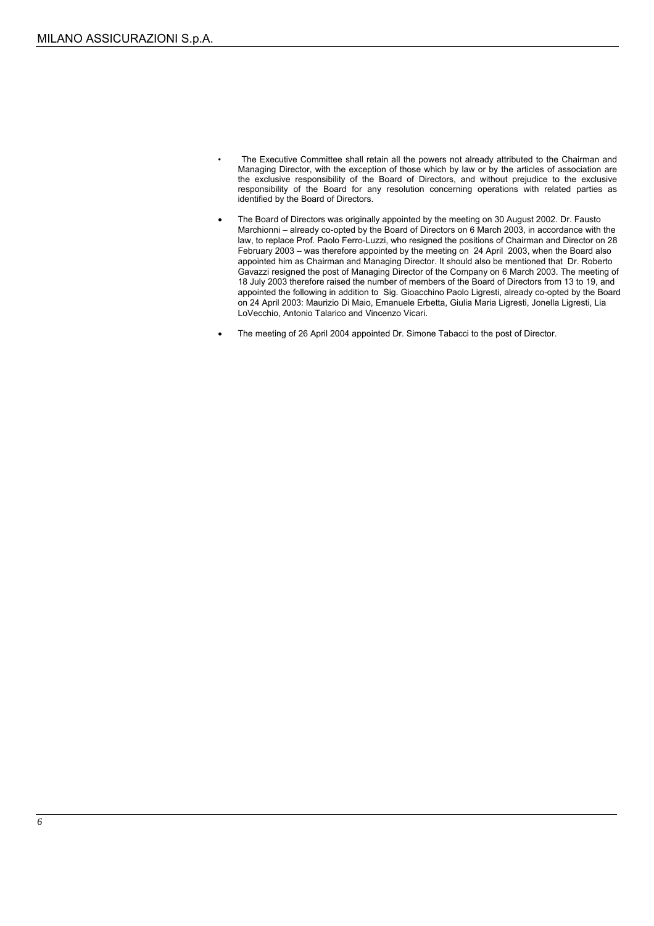- The Executive Committee shall retain all the powers not already attributed to the Chairman and Managing Director, with the exception of those which by law or by the articles of association are the exclusive responsibility of the Board of Directors, and without prejudice to the exclusive responsibility of the Board for any resolution concerning operations with related parties as identified by the Board of Directors.
- The Board of Directors was originally appointed by the meeting on 30 August 2002. Dr. Fausto Marchionni – already co-opted by the Board of Directors on 6 March 2003, in accordance with the law, to replace Prof. Paolo Ferro-Luzzi, who resigned the positions of Chairman and Director on 28 February 2003 – was therefore appointed by the meeting on 24 April 2003, when the Board also appointed him as Chairman and Managing Director. It should also be mentioned that Dr. Roberto Gavazzi resigned the post of Managing Director of the Company on 6 March 2003. The meeting of 18 July 2003 therefore raised the number of members of the Board of Directors from 13 to 19, and appointed the following in addition to Sig. Gioacchino Paolo Ligresti, already co-opted by the Board on 24 April 2003: Maurizio Di Maio, Emanuele Erbetta, Giulia Maria Ligresti, Jonella Ligresti, Lia LoVecchio, Antonio Talarico and Vincenzo Vicari.
- The meeting of 26 April 2004 appointed Dr. Simone Tabacci to the post of Director.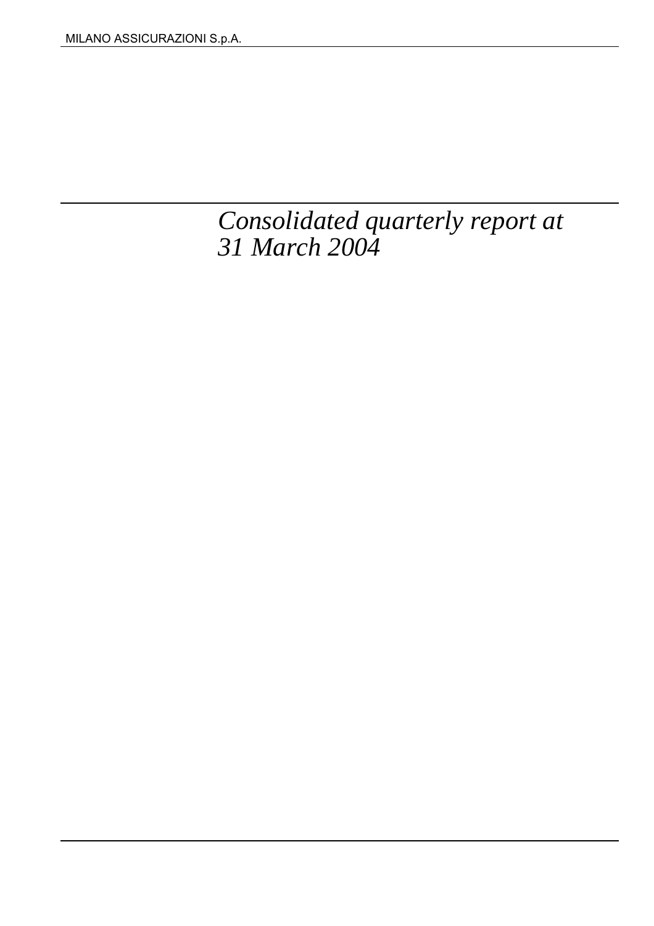# *Consolidated quarterly report at 31 March 2004*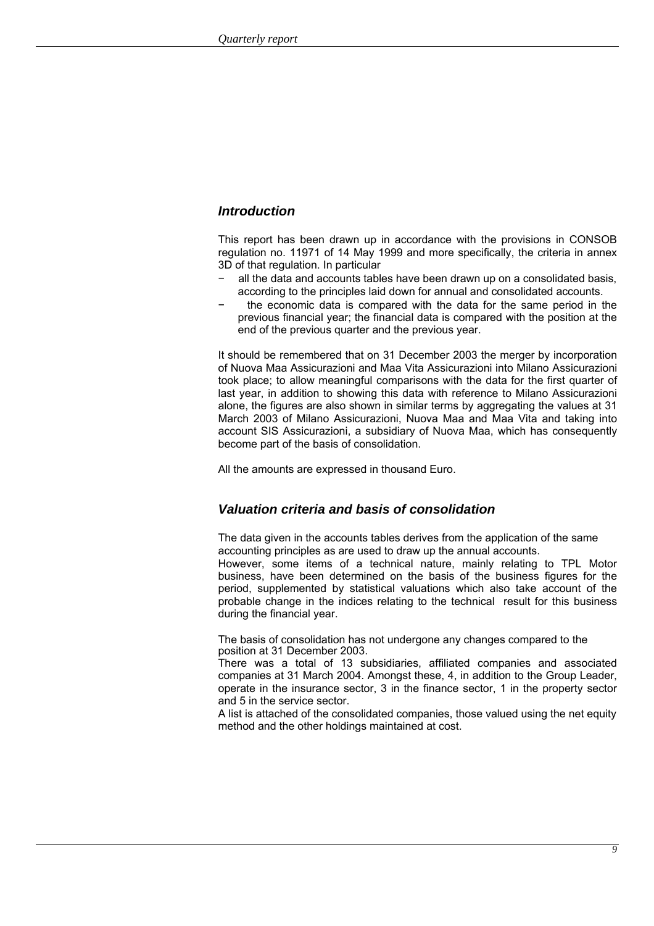### *Introduction*

This report has been drawn up in accordance with the provisions in CONSOB regulation no. 11971 of 14 May 1999 and more specifically, the criteria in annex 3D of that regulation. In particular

- all the data and accounts tables have been drawn up on a consolidated basis, according to the principles laid down for annual and consolidated accounts.
- the economic data is compared with the data for the same period in the previous financial year; the financial data is compared with the position at the end of the previous quarter and the previous year.

It should be remembered that on 31 December 2003 the merger by incorporation of Nuova Maa Assicurazioni and Maa Vita Assicurazioni into Milano Assicurazioni took place; to allow meaningful comparisons with the data for the first quarter of last year, in addition to showing this data with reference to Milano Assicurazioni alone, the figures are also shown in similar terms by aggregating the values at 31 March 2003 of Milano Assicurazioni, Nuova Maa and Maa Vita and taking into account SIS Assicurazioni, a subsidiary of Nuova Maa, which has consequently become part of the basis of consolidation.

All the amounts are expressed in thousand Euro.

### *Valuation criteria and basis of consolidation*

The data given in the accounts tables derives from the application of the same accounting principles as are used to draw up the annual accounts.

However, some items of a technical nature, mainly relating to TPL Motor business, have been determined on the basis of the business figures for the period, supplemented by statistical valuations which also take account of the probable change in the indices relating to the technical result for this business during the financial year.

The basis of consolidation has not undergone any changes compared to the position at 31 December 2003.

There was a total of 13 subsidiaries, affiliated companies and associated companies at 31 March 2004. Amongst these, 4, in addition to the Group Leader, operate in the insurance sector, 3 in the finance sector, 1 in the property sector and 5 in the service sector.

A list is attached of the consolidated companies, those valued using the net equity method and the other holdings maintained at cost.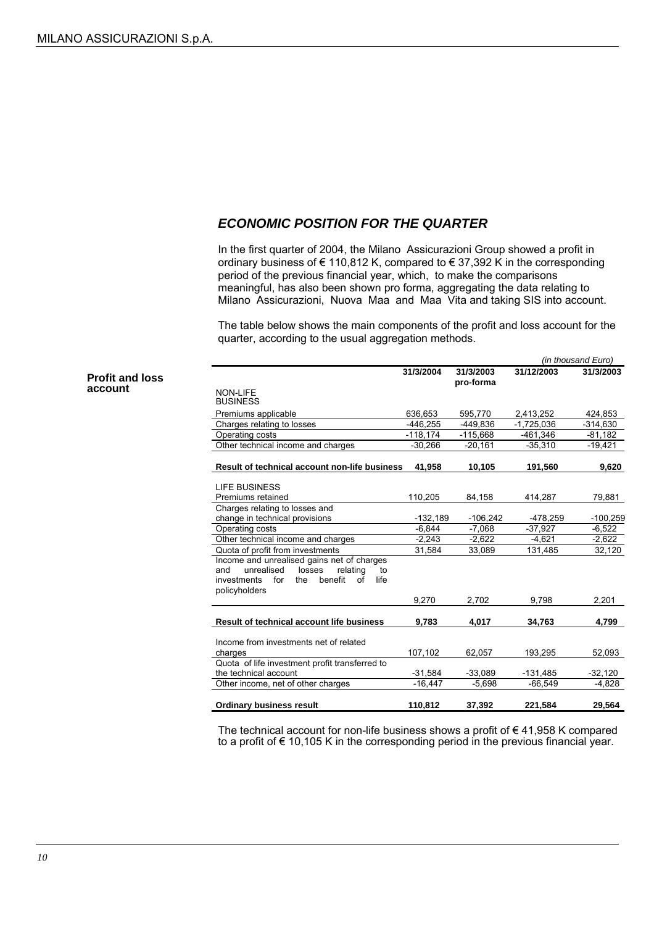### *ECONOMIC POSITION FOR THE QUARTER*

In the first quarter of 2004, the Milano Assicurazioni Group showed a profit in ordinary business of  $\epsilon$  110,812 K, compared to  $\epsilon$  37,392 K in the corresponding period of the previous financial year, which, to make the comparisons meaningful, has also been shown pro forma, aggregating the data relating to Milano Assicurazioni, Nuova Maa and Maa Vita and taking SIS into account.

The table below shows the main components of the profit and loss account for the quarter, according to the usual aggregation methods.

|                                                                                                     |            |                        |              | (in thousand Euro) |
|-----------------------------------------------------------------------------------------------------|------------|------------------------|--------------|--------------------|
|                                                                                                     | 31/3/2004  | 31/3/2003<br>pro-forma | 31/12/2003   | 31/3/2003          |
| <b>NON-LIFE</b>                                                                                     |            |                        |              |                    |
| <b>BUSINESS</b>                                                                                     |            |                        |              |                    |
| Premiums applicable                                                                                 | 636,653    | 595,770                | 2,413,252    | 424,853            |
| Charges relating to losses                                                                          | $-446,255$ | -449,836               | $-1,725,036$ | $-314,630$         |
| Operating costs                                                                                     | $-118,174$ | $-115,668$             | -461,346     | $-81,182$          |
| Other technical income and charges                                                                  | $-30.266$  | $-20.161$              | $-35.310$    | $-19.421$          |
| <b>Result of technical account non-life business</b>                                                | 41,958     | 10,105                 | 191,560      | 9,620              |
| LIFE BUSINESS                                                                                       |            |                        |              |                    |
| Premiums retained                                                                                   | 110,205    | 84,158                 | 414,287      | 79,881             |
| Charges relating to losses and                                                                      |            |                        |              |                    |
| change in technical provisions                                                                      | $-132,189$ | $-106,242$             | -478,259     | $-100,259$         |
| Operating costs                                                                                     | $-6.844$   | $-7.068$               | $-37.927$    | $-6,522$           |
| Other technical income and charges                                                                  | $-2.243$   | $-2,622$               | $-4,621$     | $-2,622$           |
| Quota of profit from investments                                                                    | 31,584     | 33,089                 | 131,485      | 32,120             |
| Income and unrealised gains net of charges                                                          |            |                        |              |                    |
| unrealised<br>losses<br>relating<br>and<br>to<br>benefit<br>life<br>investments<br>for<br>the<br>of |            |                        |              |                    |
| policyholders                                                                                       |            |                        |              |                    |
|                                                                                                     | 9,270      | 2,702                  | 9,798        | 2,201              |
| Result of technical account life business                                                           | 9,783      | 4,017                  | 34,763       | 4,799              |
|                                                                                                     |            |                        |              |                    |
| Income from investments net of related                                                              |            |                        |              |                    |
| charges                                                                                             | 107.102    | 62.057                 | 193.295      | 52,093             |
| Quota of life investment profit transferred to                                                      |            |                        |              |                    |
| the technical account                                                                               | $-31,584$  | $-33,089$              | $-131,485$   | $-32,120$          |
| Other income, net of other charges                                                                  | $-16.447$  | $-5,698$               | $-66,549$    | $-4,828$           |
| <b>Ordinary business result</b>                                                                     | 110.812    | 37,392                 | 221.584      | 29.564             |

The technical account for non-life business shows a profit of  $\epsilon$  41,958 K compared to a profit of € 10,105 K in the corresponding period in the previous financial year.

**Profit and loss** account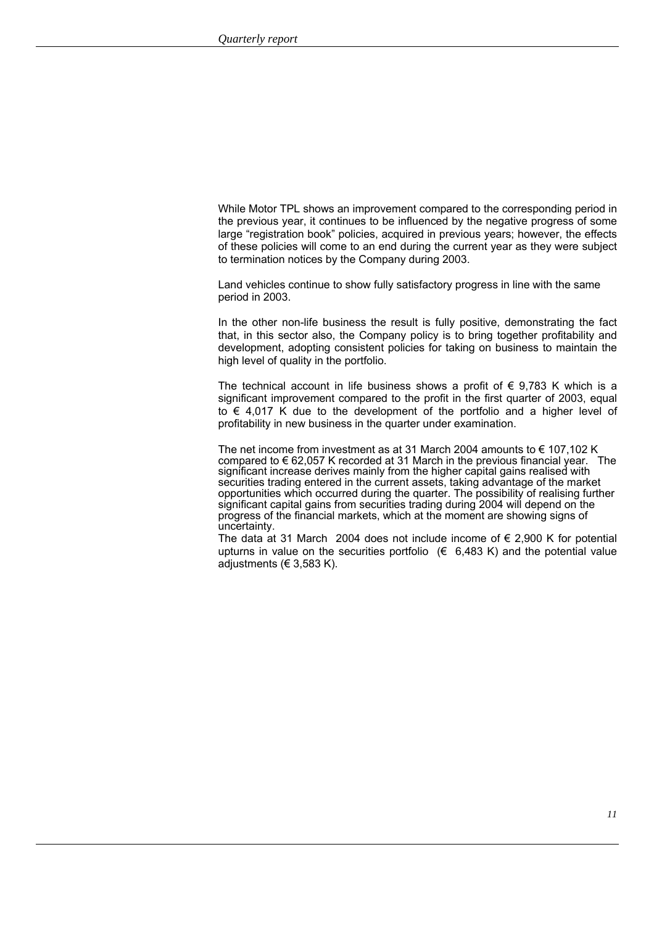While Motor TPL shows an improvement compared to the corresponding period in the previous year, it continues to be influenced by the negative progress of some large "registration book" policies, acquired in previous years; however, the effects of these policies will come to an end during the current year as they were subject to termination notices by the Company during 2003.

Land vehicles continue to show fully satisfactory progress in line with the same period in 2003.

In the other non-life business the result is fully positive, demonstrating the fact that, in this sector also, the Company policy is to bring together profitability and development, adopting consistent policies for taking on business to maintain the high level of quality in the portfolio.

The technical account in life business shows a profit of  $\epsilon$  9,783 K which is a significant improvement compared to the profit in the first quarter of 2003, equal to € 4,017 K due to the development of the portfolio and a higher level of profitability in new business in the quarter under examination.

The net income from investment as at 31 March 2004 amounts to  $\epsilon$  107,102 K compared to € 62,057 K recorded at 31 March in the previous financial year. The significant increase derives mainly from the higher capital gains realised with securities trading entered in the current assets, taking advantage of the market opportunities which occurred during the quarter. The possibility of realising further significant capital gains from securities trading during 2004 will depend on the progress of the financial markets, which at the moment are showing signs of uncertainty.

The data at 31 March 2004 does not include income of  $\epsilon$  2,900 K for potential upturns in value on the securities portfolio  $(\epsilon \quad 6.483 \text{ K})$  and the potential value adjustments ( $\in$  3,583 K).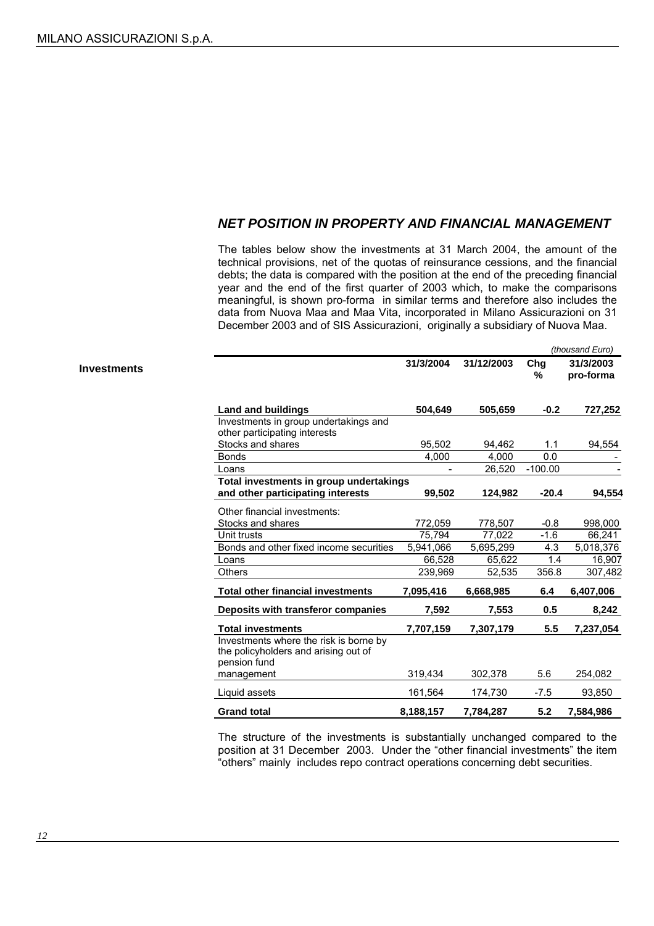### *NET POSITION IN PROPERTY AND FINANCIAL MANAGEMENT*

The tables below show the investments at 31 March 2004, the amount of the technical provisions, net of the quotas of reinsurance cessions, and the financial debts; the data is compared with the position at the end of the preceding financial year and the end of the first quarter of 2003 which, to make the comparisons meaningful, is shown pro-forma in similar terms and therefore also includes the data from Nuova Maa and Maa Vita, incorporated in Milano Assicurazioni on 31 December 2003 and of SIS Assicurazioni, originally a subsidiary of Nuova Maa.

*(thousand Euro)*

|                                                                                |                                                                                                                                  |                                                                      |                                      | uluusallu Lulu)                    |
|--------------------------------------------------------------------------------|----------------------------------------------------------------------------------------------------------------------------------|----------------------------------------------------------------------|--------------------------------------|------------------------------------|
|                                                                                | 31/3/2004                                                                                                                        | 31/12/2003                                                           | Chg<br>℅                             | 31/3/2003<br>pro-forma             |
| <b>Land and buildings</b>                                                      | 504.649                                                                                                                          | 505,659                                                              | $-0.2$                               | 727,252                            |
| Investments in group undertakings and                                          |                                                                                                                                  |                                                                      |                                      |                                    |
|                                                                                |                                                                                                                                  |                                                                      |                                      |                                    |
|                                                                                |                                                                                                                                  |                                                                      |                                      | 94,554                             |
|                                                                                |                                                                                                                                  |                                                                      |                                      |                                    |
|                                                                                |                                                                                                                                  |                                                                      |                                      |                                    |
|                                                                                |                                                                                                                                  |                                                                      |                                      |                                    |
|                                                                                |                                                                                                                                  |                                                                      |                                      | 94,554                             |
| Other financial investments:                                                   |                                                                                                                                  |                                                                      |                                      |                                    |
| Stocks and shares                                                              | 772,059                                                                                                                          | 778,507                                                              | $-0.8$                               | 998,000                            |
| Unit trusts                                                                    | 75.794                                                                                                                           | 77.022                                                               | $-1.6$                               | 66,241                             |
| Bonds and other fixed income securities                                        | 5.941.066                                                                                                                        | 5,695,299                                                            | 4.3                                  | 5,018,376                          |
| Loans                                                                          | 66,528                                                                                                                           | 65,622                                                               | 1.4                                  | 16,907                             |
| Others                                                                         | 239,969                                                                                                                          | 52,535                                                               | 356.8                                | 307,482                            |
| <b>Total other financial investments</b>                                       | 7,095,416                                                                                                                        | 6,668,985                                                            | 6.4                                  | 6,407,006                          |
| Deposits with transferor companies                                             | 7,592                                                                                                                            | 7,553                                                                | 0.5                                  | 8,242                              |
| <b>Total investments</b>                                                       | 7,707,159                                                                                                                        | 7,307,179                                                            | 5.5                                  | 7,237,054                          |
| Investments where the risk is borne by<br>the policyholders and arising out of |                                                                                                                                  |                                                                      |                                      |                                    |
| management                                                                     | 319,434                                                                                                                          | 302,378                                                              | 5.6                                  | 254,082                            |
| Liquid assets                                                                  | 161,564                                                                                                                          | 174,730                                                              | $-7.5$                               | 93,850                             |
| <b>Grand total</b>                                                             | 8,188,157                                                                                                                        | 7,784,287                                                            | 5.2                                  | 7,584,986                          |
|                                                                                | other participating interests<br>Stocks and shares<br><b>Bonds</b><br>Loans<br>and other participating interests<br>pension fund | 95.502<br>4.000<br>Total investments in group undertakings<br>99,502 | 94,462<br>4,000<br>26,520<br>124,982 | 1.1<br>0.0<br>$-100.00$<br>$-20.4$ |

The structure of the investments is substantially unchanged compared to the position at 31 December 2003. Under the "other financial investments" the item "others" mainly includes repo contract operations concerning debt securities.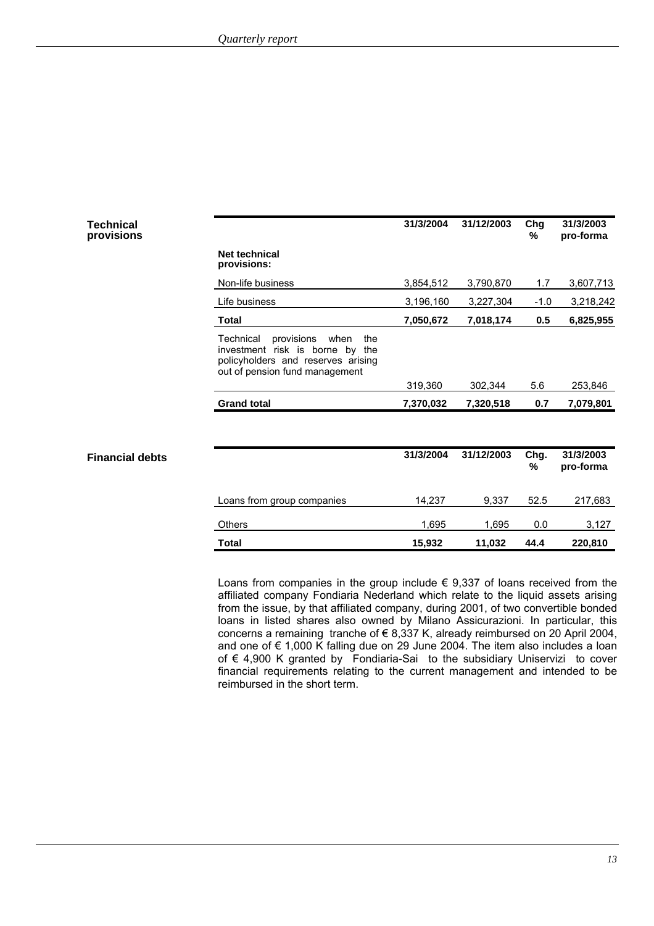| <b>Technical</b><br>provisions |                                                                                                                                                   | 31/3/2004 | 31/12/2003 | Chg<br>$\frac{0}{0}$ | 31/3/2003<br>pro-forma |
|--------------------------------|---------------------------------------------------------------------------------------------------------------------------------------------------|-----------|------------|----------------------|------------------------|
|                                | Net technical<br>provisions:                                                                                                                      |           |            |                      |                        |
|                                | Non-life business                                                                                                                                 | 3,854,512 | 3,790,870  | 1.7                  | 3,607,713              |
|                                | Life business                                                                                                                                     | 3,196,160 | 3,227,304  | $-1.0$               | 3,218,242              |
|                                | <b>Total</b>                                                                                                                                      | 7,050,672 | 7,018,174  | 0.5                  | 6,825,955              |
|                                | Technical<br>provisions<br>when<br>the<br>investment risk is borne by the<br>policyholders and reserves arising<br>out of pension fund management |           |            |                      |                        |
|                                |                                                                                                                                                   | 319,360   | 302,344    | 5.6                  | 253,846                |
|                                | <b>Grand total</b>                                                                                                                                | 7,370,032 | 7,320,518  | 0.7                  | 7,079,801              |
|                                |                                                                                                                                                   |           |            |                      |                        |
| <b>Financial debts</b>         |                                                                                                                                                   | 31/3/2004 | 31/12/2003 | Chg.<br>%            | 31/3/2003<br>pro-forma |
|                                | Loans from group companies                                                                                                                        | 14,237    | 9,337      | 52.5                 | 217,683                |
|                                | <b>Others</b>                                                                                                                                     | 1,695     | 1,695      | 0.0                  | 3,127                  |
|                                | <b>Total</b>                                                                                                                                      | 15,932    | 11,032     | 44.4                 | 220,810                |

Loans from companies in the group include  $\epsilon$  9,337 of loans received from the affiliated company Fondiaria Nederland which relate to the liquid assets arising from the issue, by that affiliated company, during 2001, of two convertible bonded loans in listed shares also owned by Milano Assicurazioni. In particular, this concerns a remaining tranche of  $\epsilon$  8,337 K, already reimbursed on 20 April 2004, and one of € 1,000 K falling due on 29 June 2004. The item also includes a loan of € 4,900 K granted by Fondiaria-Sai to the subsidiary Uniservizi to cover financial requirements relating to the current management and intended to be reimbursed in the short term.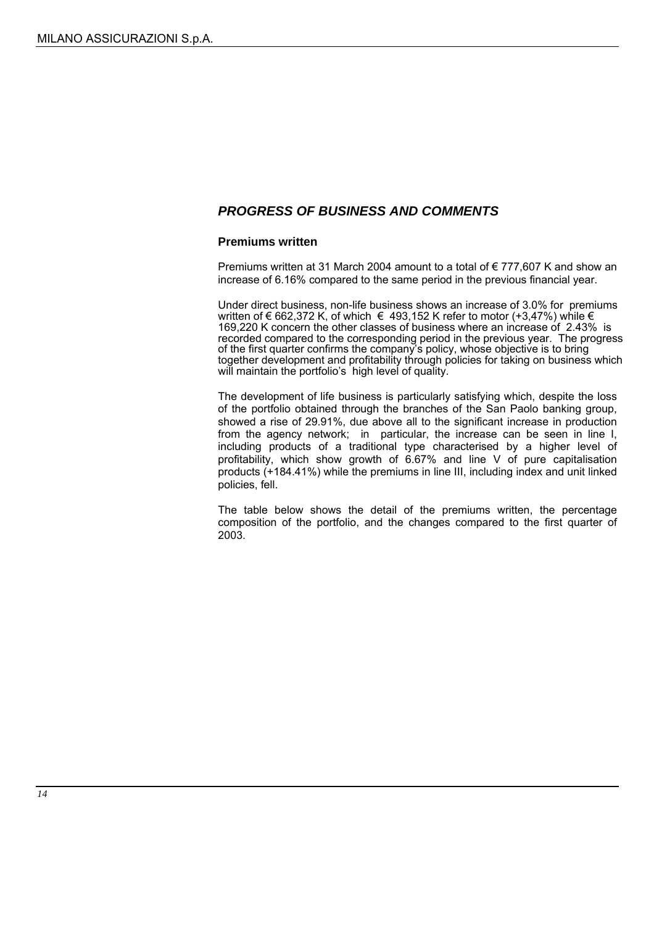### *PROGRESS OF BUSINESS AND COMMENTS*

### **Premiums written**

Premiums written at 31 March 2004 amount to a total of € 777,607 K and show an increase of 6.16% compared to the same period in the previous financial year.

Under direct business, non-life business shows an increase of 3.0% for premiums written of € 662,372 K, of which  $\in$  493,152 K refer to motor (+3,47%) while  $\in$ 169,220 K concern the other classes of business where an increase of 2.43% is recorded compared to the corresponding period in the previous year. The progress of the first quarter confirms the company's policy, whose objective is to bring together development and profitability through policies for taking on business which will maintain the portfolio's high level of quality.

The development of life business is particularly satisfying which, despite the loss of the portfolio obtained through the branches of the San Paolo banking group, showed a rise of 29.91%, due above all to the significant increase in production from the agency network; in particular, the increase can be seen in line I, including products of a traditional type characterised by a higher level of profitability, which show growth of 6.67% and line V of pure capitalisation products (+184.41%) while the premiums in line III, including index and unit linked policies, fell.

The table below shows the detail of the premiums written, the percentage composition of the portfolio, and the changes compared to the first quarter of 2003.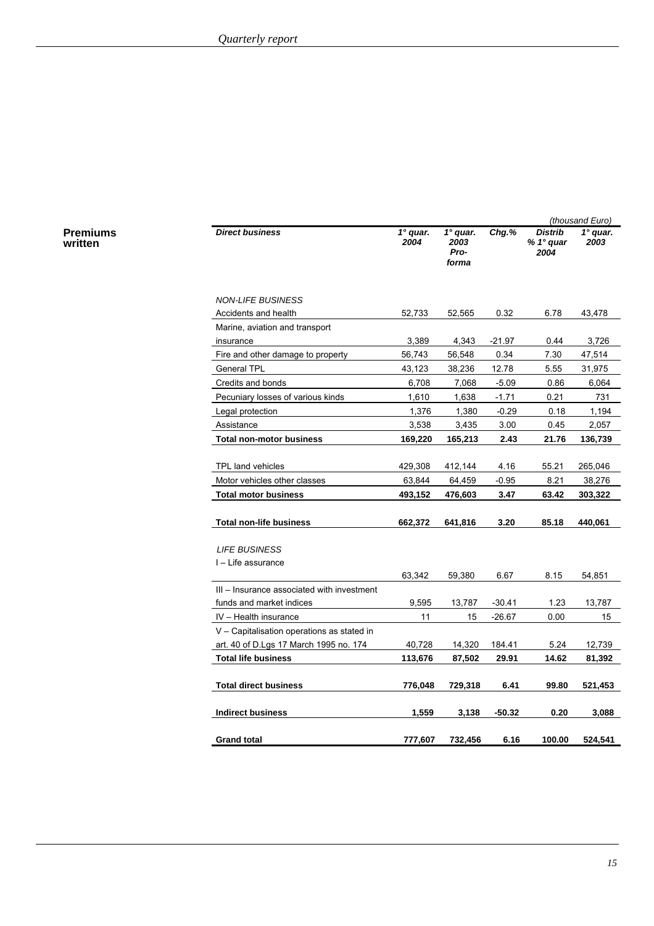**Premiums written**

|                                            |                         |                                          |          |                                     | (thousand Euro)    |
|--------------------------------------------|-------------------------|------------------------------------------|----------|-------------------------------------|--------------------|
| <b>Direct business</b>                     | $1^\circ$ quar.<br>2004 | $1^\circ$ quar.<br>2003<br>Pro-<br>forma | Chg.%    | <b>Distrib</b><br>% 1° quar<br>2004 | $1°$ quar.<br>2003 |
| <b>NON-LIFE BUSINESS</b>                   |                         |                                          |          |                                     |                    |
| Accidents and health                       | 52,733                  | 52,565                                   | 0.32     | 6.78                                | 43,478             |
| Marine, aviation and transport             |                         |                                          |          |                                     |                    |
| insurance                                  | 3,389                   | 4,343                                    | $-21.97$ | 0.44                                | 3,726              |
| Fire and other damage to property          | 56,743                  | 56,548                                   | 0.34     | 7.30                                | 47,514             |
| <b>General TPL</b>                         | 43,123                  | 38,236                                   | 12.78    | 5.55                                | 31,975             |
| Credits and bonds                          | 6,708                   | 7,068                                    | $-5.09$  | 0.86                                | 6,064              |
| Pecuniary losses of various kinds          | 1,610                   | 1,638                                    | $-1.71$  | 0.21                                | 731                |
| Legal protection                           | 1,376                   | 1,380                                    | $-0.29$  | 0.18                                | 1,194              |
| Assistance                                 | 3,538                   | 3,435                                    | 3.00     | 0.45                                | 2,057              |
| <b>Total non-motor business</b>            | 169,220                 | 165,213                                  | 2.43     | 21.76                               | 136,739            |
|                                            |                         |                                          |          |                                     |                    |
| TPL land vehicles                          | 429,308                 | 412,144                                  | 4.16     | 55.21                               | 265,046            |
| Motor vehicles other classes               | 63,844                  | 64,459                                   | $-0.95$  | 8.21                                | 38,276             |
| <b>Total motor business</b>                | 493,152                 | 476,603                                  | 3.47     | 63.42                               | 303,322            |
|                                            |                         |                                          |          |                                     |                    |
| <b>Total non-life business</b>             | 662,372                 | 641,816                                  | 3.20     | 85.18                               | 440,061            |
|                                            |                         |                                          |          |                                     |                    |
| <b>LIFE BUSINESS</b>                       |                         |                                          |          |                                     |                    |
| I – Life assurance                         |                         |                                          |          |                                     |                    |
|                                            | 63,342                  | 59,380                                   | 6.67     | 8.15                                | 54,851             |
| III - Insurance associated with investment |                         |                                          |          |                                     |                    |
| funds and market indices                   | 9,595                   | 13,787                                   | $-30.41$ | 1.23                                | 13,787             |
| IV - Health insurance                      | 11                      | 15                                       | $-26.67$ | 0.00                                | 15                 |
| V - Capitalisation operations as stated in |                         |                                          |          |                                     |                    |
| art. 40 of D.Lgs 17 March 1995 no. 174     | 40,728                  | 14,320                                   | 184.41   | 5.24                                | 12,739             |
| <b>Total life business</b>                 | 113,676                 | 87,502                                   | 29.91    | 14.62                               | 81,392             |
|                                            |                         |                                          |          |                                     |                    |
| <b>Total direct business</b>               | 776,048                 | 729,318                                  | 6.41     | 99.80                               | 521,453            |
| <b>Indirect business</b>                   | 1,559                   | 3,138                                    | $-50.32$ | 0.20                                | 3,088              |
| <b>Grand total</b>                         | 777,607                 | 732,456                                  | 6.16     | 100.00                              | 524,541            |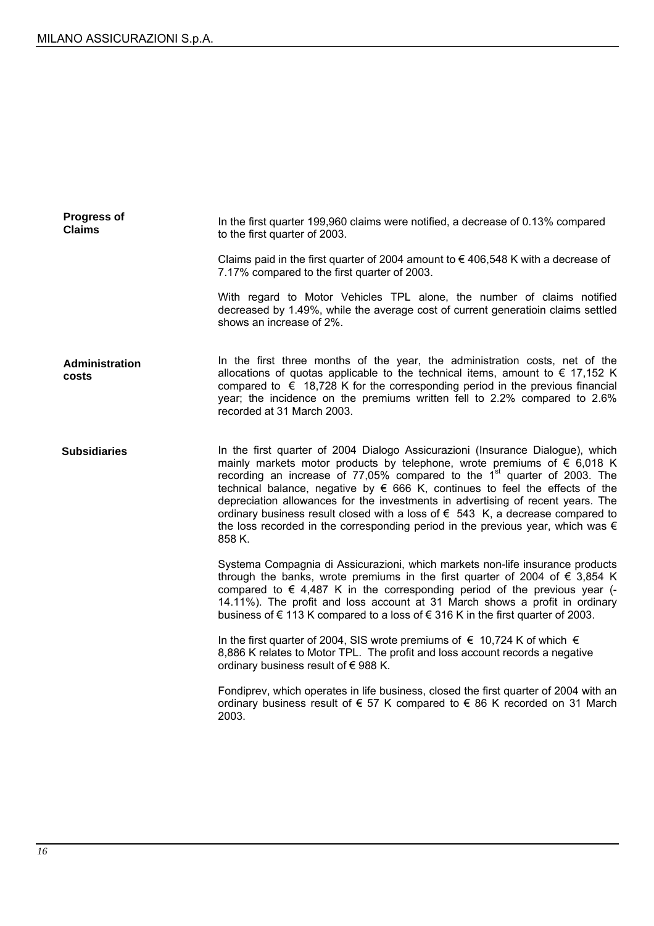| <b>Progress of</b><br><b>Claims</b> | In the first quarter 199,960 claims were notified, a decrease of 0.13% compared<br>to the first quarter of 2003.                                                                                                                                                                                                                                                                                                                                                                                                                                                                                                                        |
|-------------------------------------|-----------------------------------------------------------------------------------------------------------------------------------------------------------------------------------------------------------------------------------------------------------------------------------------------------------------------------------------------------------------------------------------------------------------------------------------------------------------------------------------------------------------------------------------------------------------------------------------------------------------------------------------|
|                                     | Claims paid in the first quarter of 2004 amount to $\epsilon$ 406,548 K with a decrease of<br>7.17% compared to the first quarter of 2003.                                                                                                                                                                                                                                                                                                                                                                                                                                                                                              |
|                                     | With regard to Motor Vehicles TPL alone, the number of claims notified<br>decreased by 1.49%, while the average cost of current generatioin claims settled<br>shows an increase of 2%.                                                                                                                                                                                                                                                                                                                                                                                                                                                  |
| Administration<br>costs             | In the first three months of the year, the administration costs, net of the<br>allocations of quotas applicable to the technical items, amount to $\epsilon$ 17,152 K<br>compared to $\epsilon$ 18,728 K for the corresponding period in the previous financial<br>year; the incidence on the premiums written fell to 2.2% compared to 2.6%<br>recorded at 31 March 2003.                                                                                                                                                                                                                                                              |
| <b>Subsidiaries</b>                 | In the first quarter of 2004 Dialogo Assicurazioni (Insurance Dialogue), which<br>mainly markets motor products by telephone, wrote premiums of $\epsilon$ 6,018 K<br>recording an increase of 77,05% compared to the 1 <sup>st</sup> quarter of 2003. The<br>technical balance, negative by $\epsilon$ 666 K, continues to feel the effects of the<br>depreciation allowances for the investments in advertising of recent years. The<br>ordinary business result closed with a loss of $\epsilon$ 543 K, a decrease compared to<br>the loss recorded in the corresponding period in the previous year, which was $\epsilon$<br>858 K. |
|                                     | Systema Compagnia di Assicurazioni, which markets non-life insurance products<br>through the banks, wrote premiums in the first quarter of 2004 of $\epsilon$ 3,854 K<br>compared to $\epsilon$ 4,487 K in the corresponding period of the previous year (-<br>14.11%). The profit and loss account at 31 March shows a profit in ordinary<br>business of €113 K compared to a loss of €316 K in the first quarter of 2003.                                                                                                                                                                                                             |
|                                     | In the first quarter of 2004, SIS wrote premiums of $\epsilon$ 10,724 K of which $\epsilon$<br>8,886 K relates to Motor TPL. The profit and loss account records a negative<br>ordinary business result of €988 K.                                                                                                                                                                                                                                                                                                                                                                                                                      |
|                                     | Fondiprev, which operates in life business, closed the first quarter of 2004 with an<br>ordinary business result of $\epsilon$ 57 K compared to $\epsilon$ 86 K recorded on 31 March<br>2003.                                                                                                                                                                                                                                                                                                                                                                                                                                           |
|                                     |                                                                                                                                                                                                                                                                                                                                                                                                                                                                                                                                                                                                                                         |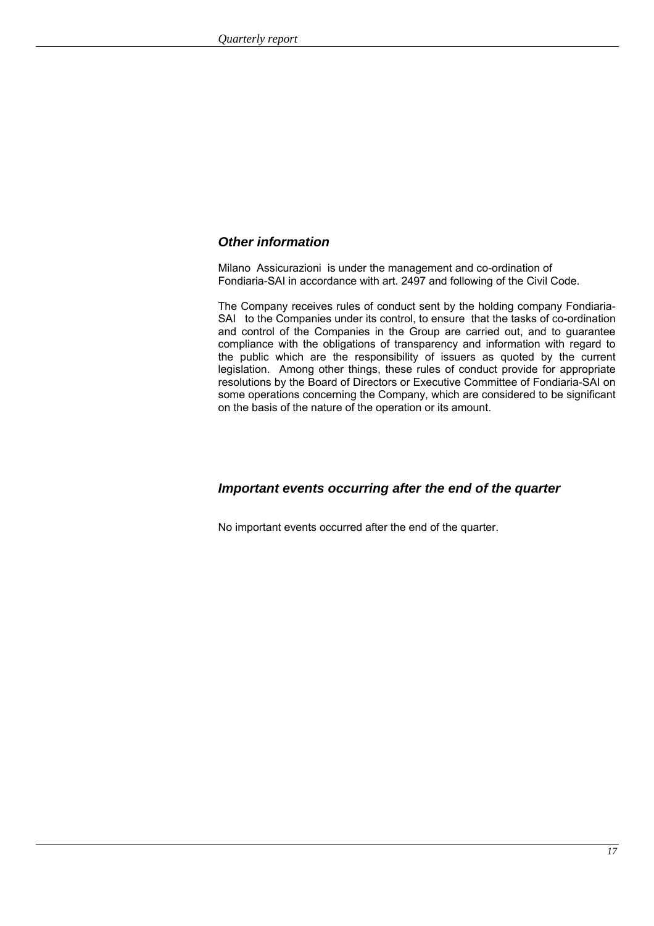### *Other information*

Milano Assicurazioni is under the management and co-ordination of Fondiaria-SAI in accordance with art. 2497 and following of the Civil Code.

The Company receives rules of conduct sent by the holding company Fondiaria-SAI to the Companies under its control, to ensure that the tasks of co-ordination and control of the Companies in the Group are carried out, and to guarantee compliance with the obligations of transparency and information with regard to the public which are the responsibility of issuers as quoted by the current legislation. Among other things, these rules of conduct provide for appropriate resolutions by the Board of Directors or Executive Committee of Fondiaria-SAI on some operations concerning the Company, which are considered to be significant on the basis of the nature of the operation or its amount.

### *Important events occurring after the end of the quarter*

No important events occurred after the end of the quarter.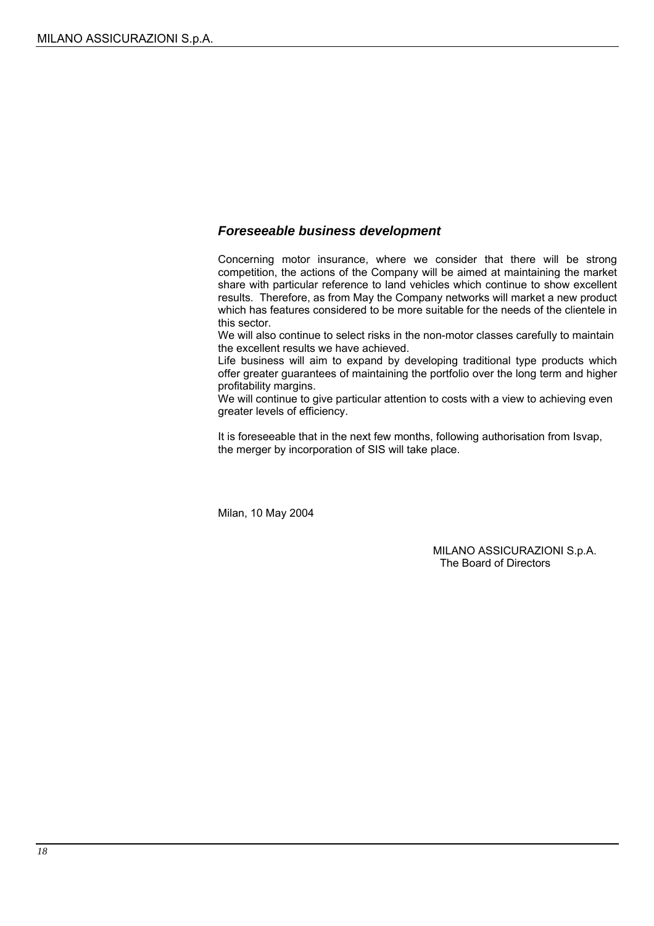### *Foreseeable business development*

Concerning motor insurance, where we consider that there will be strong competition, the actions of the Company will be aimed at maintaining the market share with particular reference to land vehicles which continue to show excellent results. Therefore, as from May the Company networks will market a new product which has features considered to be more suitable for the needs of the clientele in this sector.

We will also continue to select risks in the non-motor classes carefully to maintain the excellent results we have achieved.

Life business will aim to expand by developing traditional type products which offer greater guarantees of maintaining the portfolio over the long term and higher profitability margins.

We will continue to give particular attention to costs with a view to achieving even greater levels of efficiency.

It is foreseeable that in the next few months, following authorisation from Isvap, the merger by incorporation of SIS will take place.

Milan, 10 May 2004

MILANO ASSICURAZIONI S.p.A. The Board of Directors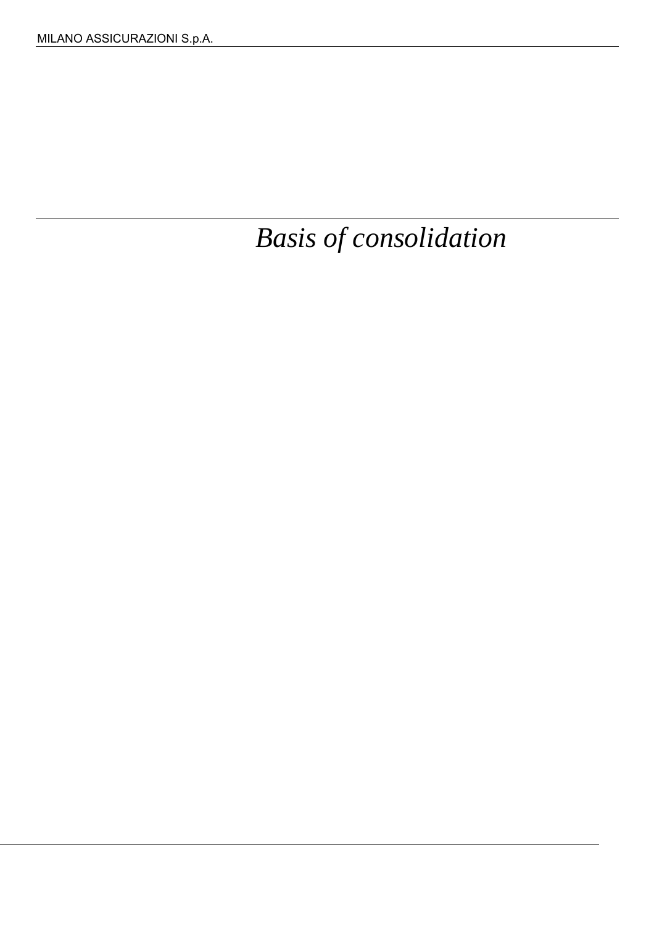*Basis of consolidation*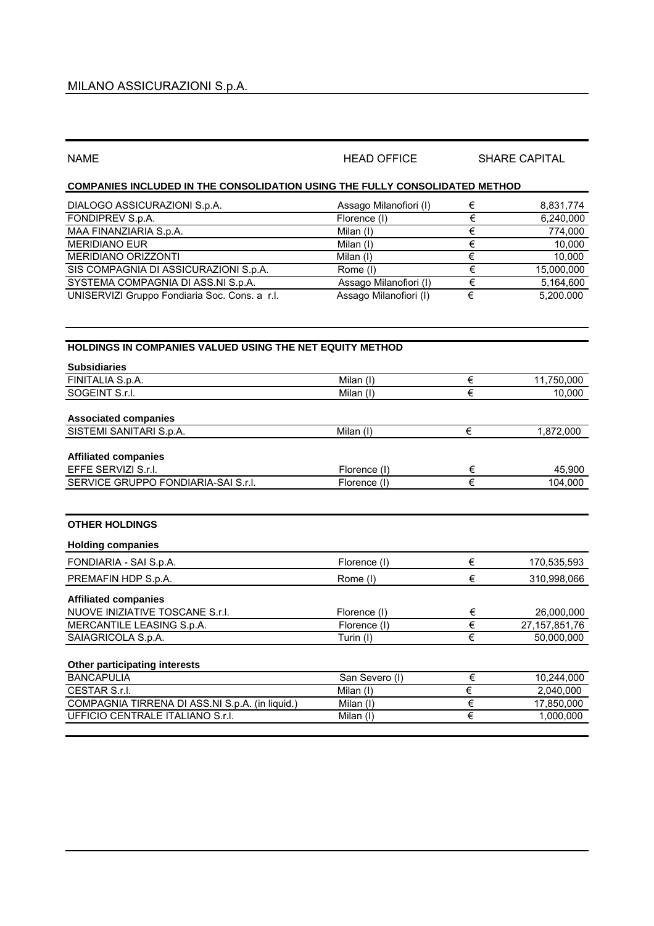| <b>NAME</b>                                                                        | <b>HEAD OFFICE</b>     | <b>SHARE CAPITAL</b>  |                  |  |  |
|------------------------------------------------------------------------------------|------------------------|-----------------------|------------------|--|--|
| <b>COMPANIES INCLUDED IN THE CONSOLIDATION USING THE FULLY CONSOLIDATED METHOD</b> |                        |                       |                  |  |  |
| DIALOGO ASSICURAZIONI S.p.A.                                                       | Assago Milanofiori (I) | €                     | 8,831,774        |  |  |
| FONDIPREV S.p.A.                                                                   | Florence (I)           | €                     | 6,240,000        |  |  |
| MAA FINANZIARIA S.p.A.                                                             | Milan (I)              | €                     | 774,000          |  |  |
| <b>MERIDIANO EUR</b>                                                               | Milan (I)              | €                     | 10,000           |  |  |
| MERIDIANO ORIZZONTI                                                                | Milan (I)              | $\in$                 | 10,000           |  |  |
| SIS COMPAGNIA DI ASSICURAZIONI S.p.A.                                              | Rome (I)               | €                     | 15,000,000       |  |  |
| SYSTEMA COMPAGNIA DI ASS.NI S.p.A.                                                 | Assago Milanofiori (I) | $\overline{\epsilon}$ | 5,164,600        |  |  |
| UNISERVIZI Gruppo Fondiaria Soc. Cons. a r.l.                                      | Assago Milanofiori (I) | $\overline{\epsilon}$ | 5,200.000        |  |  |
| HOLDINGS IN COMPANIES VALUED USING THE NET EQUITY METHOD                           |                        |                       |                  |  |  |
| <b>Subsidiaries</b>                                                                |                        |                       |                  |  |  |
| FINITALIA S.p.A.                                                                   | Milan (I)              | €                     | 11,750,000       |  |  |
| SOGEINT S.r.l.                                                                     | Milan (I)              | €                     | 10,000           |  |  |
| <b>Associated companies</b>                                                        |                        |                       |                  |  |  |
| SISTEMI SANITARI S.p.A.                                                            | Milan (I)              | €                     | 1,872,000        |  |  |
|                                                                                    |                        |                       |                  |  |  |
| <b>Affiliated companies</b>                                                        |                        |                       |                  |  |  |
| EFFE SERVIZI S.r.l.                                                                | Florence (I)           | €                     | 45,900           |  |  |
| SERVICE GRUPPO FONDIARIA-SAI S.r.l.                                                | Florence (I)           | €                     | 104,000          |  |  |
| <b>OTHER HOLDINGS</b>                                                              |                        |                       |                  |  |  |
| <b>Holding companies</b>                                                           |                        |                       |                  |  |  |
| FONDIARIA - SAI S.p.A.                                                             | Florence (I)           | €                     | 170,535,593      |  |  |
| PREMAFIN HDP S.p.A.                                                                | Rome (I)               | €                     | 310,998,066      |  |  |
| <b>Affiliated companies</b>                                                        |                        |                       |                  |  |  |
| NUOVE INIZIATIVE TOSCANE S.r.I.                                                    | Florence (I)           | €                     | 26,000,000       |  |  |
| MERCANTILE LEASING S.p.A.                                                          | Florence (I)           | €                     | 27, 157, 851, 76 |  |  |
| SAIAGRICOLA S.p.A.                                                                 | Turin (I)              | €                     | 50,000,000       |  |  |
| Other participating interests                                                      |                        |                       |                  |  |  |
| <b>BANCAPULIA</b>                                                                  | San Severo (I)         | $\in$                 | 10,244,000       |  |  |
| CESTAR S.r.l.                                                                      | Milan (I)              | €                     | 2,040,000        |  |  |
| COMPAGNIA TIRRENA DI ASS.NI S.p.A. (in liquid.)                                    | Milan (I)              | $\in$                 | 17,850,000       |  |  |
| UFFICIO CENTRALE ITALIANO S.r.I.                                                   | Milan (I)              | $\overline{\epsilon}$ | 1,000,000        |  |  |
|                                                                                    |                        |                       |                  |  |  |